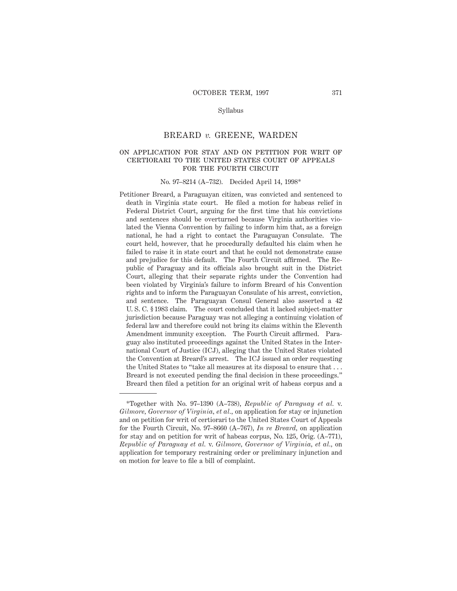### Syllabus

## BREARD *v.* GREENE, WARDEN

## on application for stay and on petition for writ of certiorari to the united states court of appeals FOR THE FOURTH CIRCUIT

No. 97–8214 (A–732). Decided April 14, 1998\*

Petitioner Breard, a Paraguayan citizen, was convicted and sentenced to death in Virginia state court. He filed a motion for habeas relief in Federal District Court, arguing for the first time that his convictions and sentences should be overturned because Virginia authorities violated the Vienna Convention by failing to inform him that, as a foreign national, he had a right to contact the Paraguayan Consulate. The court held, however, that he procedurally defaulted his claim when he failed to raise it in state court and that he could not demonstrate cause and prejudice for this default. The Fourth Circuit affirmed. The Republic of Paraguay and its officials also brought suit in the District Court, alleging that their separate rights under the Convention had been violated by Virginia's failure to inform Breard of his Convention rights and to inform the Paraguayan Consulate of his arrest, conviction, and sentence. The Paraguayan Consul General also asserted a 42 U. S. C. § 1983 claim. The court concluded that it lacked subject-matter jurisdiction because Paraguay was not alleging a continuing violation of federal law and therefore could not bring its claims within the Eleventh Amendment immunity exception. The Fourth Circuit affirmed. Paraguay also instituted proceedings against the United States in the International Court of Justice (ICJ), alleging that the United States violated the Convention at Breard's arrest. The ICJ issued an order requesting the United States to "take all measures at its disposal to ensure that . . . Breard is not executed pending the final decision in these proceedings." Breard then filed a petition for an original writ of habeas corpus and a

<sup>\*</sup>Together with No. 97–1390 (A–738), *Republic of Paraguay et al.* v. *Gilmore, Governor of Virginia, et al.,* on application for stay or injunction and on petition for writ of certiorari to the United States Court of Appeals for the Fourth Circuit, No. 97–8660 (A–767), *In re Breard,* on application for stay and on petition for writ of habeas corpus, No. 125, Orig. (A–771), *Republic of Paraguay et al.* v. *Gilmore, Governor of Virginia, et al.,* on application for temporary restraining order or preliminary injunction and on motion for leave to file a bill of complaint.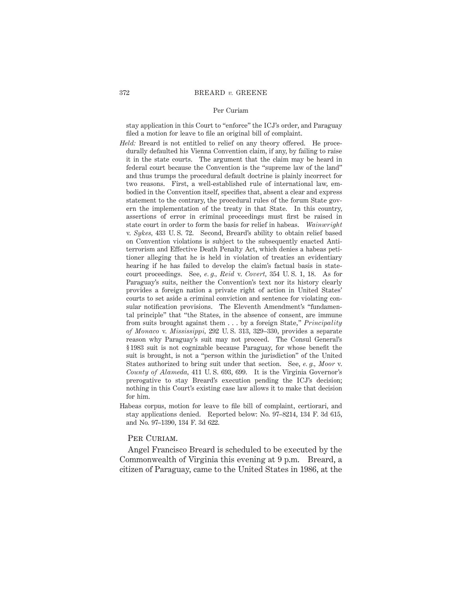stay application in this Court to "enforce" the ICJ's order, and Paraguay filed a motion for leave to file an original bill of complaint.

- *Held:* Breard is not entitled to relief on any theory offered. He procedurally defaulted his Vienna Convention claim, if any, by failing to raise it in the state courts. The argument that the claim may be heard in federal court because the Convention is the "supreme law of the land" and thus trumps the procedural default doctrine is plainly incorrect for two reasons. First, a well-established rule of international law, embodied in the Convention itself, specifies that, absent a clear and express statement to the contrary, the procedural rules of the forum State govern the implementation of the treaty in that State. In this country, assertions of error in criminal proceedings must first be raised in state court in order to form the basis for relief in habeas. *Wainwright* v. *Sykes,* 433 U. S. 72. Second, Breard's ability to obtain relief based on Convention violations is subject to the subsequently enacted Antiterrorism and Effective Death Penalty Act, which denies a habeas petitioner alleging that he is held in violation of treaties an evidentiary hearing if he has failed to develop the claim's factual basis in statecourt proceedings. See, *e. g., Reid* v. *Covert,* 354 U. S. 1, 18. As for Paraguay's suits, neither the Convention's text nor its history clearly provides a foreign nation a private right of action in United States' courts to set aside a criminal conviction and sentence for violating consular notification provisions. The Eleventh Amendment's "fundamental principle" that "the States, in the absence of consent, are immune from suits brought against them . . . by a foreign State," *Principality of Monaco* v. *Mississippi,* 292 U. S. 313, 329–330, provides a separate reason why Paraguay's suit may not proceed. The Consul General's § 1983 suit is not cognizable because Paraguay, for whose benefit the suit is brought, is not a "person within the jurisdiction" of the United States authorized to bring suit under that section. See, *e. g., Moor* v. *County of Alameda,* 411 U. S. 693, 699. It is the Virginia Governor's prerogative to stay Breard's execution pending the ICJ's decision; nothing in this Court's existing case law allows it to make that decision for him.
- Habeas corpus, motion for leave to file bill of complaint, certiorari, and stay applications denied. Reported below: No. 97–8214, 134 F. 3d 615, and No. 97–1390, 134 F. 3d 622.

# PER CURIAM.

Angel Francisco Breard is scheduled to be executed by the Commonwealth of Virginia this evening at 9 p.m. Breard, a citizen of Paraguay, came to the United States in 1986, at the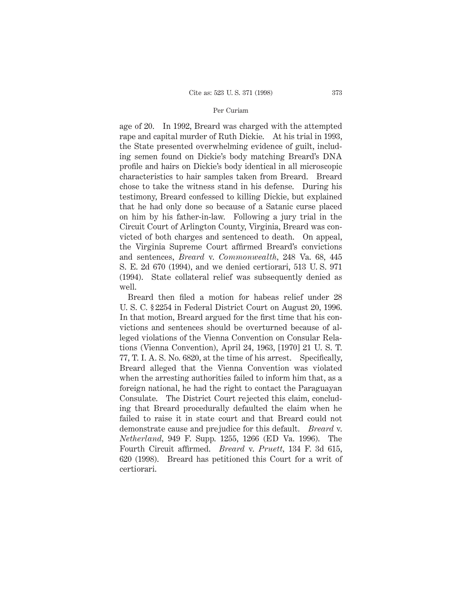age of 20. In 1992, Breard was charged with the attempted rape and capital murder of Ruth Dickie. At his trial in 1993, the State presented overwhelming evidence of guilt, including semen found on Dickie's body matching Breard's DNA profile and hairs on Dickie's body identical in all microscopic characteristics to hair samples taken from Breard. Breard chose to take the witness stand in his defense. During his testimony, Breard confessed to killing Dickie, but explained that he had only done so because of a Satanic curse placed on him by his father-in-law. Following a jury trial in the Circuit Court of Arlington County, Virginia, Breard was convicted of both charges and sentenced to death. On appeal, the Virginia Supreme Court affirmed Breard's convictions and sentences, *Breard* v. *Commonwealth,* 248 Va. 68, 445 S. E. 2d 670 (1994), and we denied certiorari, 513 U. S. 971 (1994). State collateral relief was subsequently denied as well.

Breard then filed a motion for habeas relief under 28 U. S. C. § 2254 in Federal District Court on August 20, 1996. In that motion, Breard argued for the first time that his convictions and sentences should be overturned because of alleged violations of the Vienna Convention on Consular Relations (Vienna Convention), April 24, 1963, [1970] 21 U. S. T. 77, T. I. A. S. No. 6820, at the time of his arrest. Specifically, Breard alleged that the Vienna Convention was violated when the arresting authorities failed to inform him that, as a foreign national, he had the right to contact the Paraguayan Consulate. The District Court rejected this claim, concluding that Breard procedurally defaulted the claim when he failed to raise it in state court and that Breard could not demonstrate cause and prejudice for this default. *Breard* v. *Netherland,* 949 F. Supp. 1255, 1266 (ED Va. 1996). The Fourth Circuit affirmed. *Breard* v. *Pruett,* 134 F. 3d 615, 620 (1998). Breard has petitioned this Court for a writ of certiorari.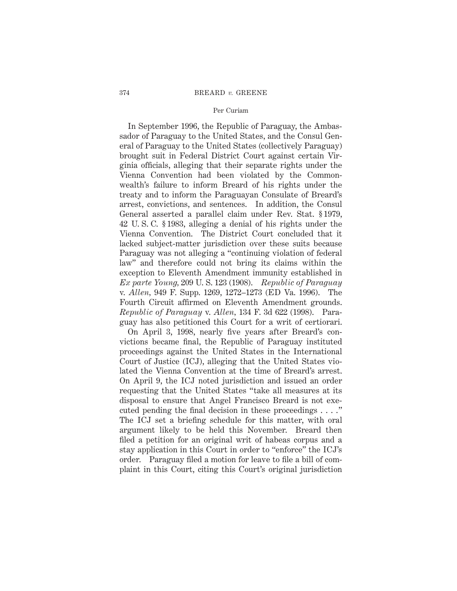In September 1996, the Republic of Paraguay, the Ambassador of Paraguay to the United States, and the Consul General of Paraguay to the United States (collectively Paraguay) brought suit in Federal District Court against certain Virginia officials, alleging that their separate rights under the Vienna Convention had been violated by the Commonwealth's failure to inform Breard of his rights under the treaty and to inform the Paraguayan Consulate of Breard's arrest, convictions, and sentences. In addition, the Consul General asserted a parallel claim under Rev. Stat. § 1979, 42 U. S. C. § 1983, alleging a denial of his rights under the Vienna Convention. The District Court concluded that it lacked subject-matter jurisdiction over these suits because Paraguay was not alleging a "continuing violation of federal law" and therefore could not bring its claims within the exception to Eleventh Amendment immunity established in *Ex parte Young,* 209 U. S. 123 (1908). *Republic of Paraguay* v. *Allen,* 949 F. Supp. 1269, 1272–1273 (ED Va. 1996). The Fourth Circuit affirmed on Eleventh Amendment grounds. *Republic of Paraguay* v. *Allen,* 134 F. 3d 622 (1998). Paraguay has also petitioned this Court for a writ of certiorari.

On April 3, 1998, nearly five years after Breard's convictions became final, the Republic of Paraguay instituted proceedings against the United States in the International Court of Justice (ICJ), alleging that the United States violated the Vienna Convention at the time of Breard's arrest. On April 9, the ICJ noted jurisdiction and issued an order requesting that the United States "take all measures at its disposal to ensure that Angel Francisco Breard is not executed pending the final decision in these proceedings . . . ." The ICJ set a briefing schedule for this matter, with oral argument likely to be held this November. Breard then filed a petition for an original writ of habeas corpus and a stay application in this Court in order to "enforce" the ICJ's order. Paraguay filed a motion for leave to file a bill of complaint in this Court, citing this Court's original jurisdiction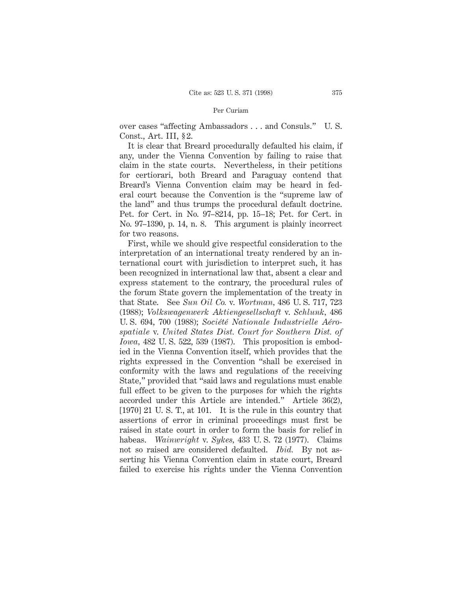over cases "affecting Ambassadors . . . and Consuls." U. S. Const., Art. III, § 2.

It is clear that Breard procedurally defaulted his claim, if any, under the Vienna Convention by failing to raise that claim in the state courts. Nevertheless, in their petitions for certiorari, both Breard and Paraguay contend that Breard's Vienna Convention claim may be heard in federal court because the Convention is the "supreme law of the land" and thus trumps the procedural default doctrine. Pet. for Cert. in No. 97–8214, pp. 15–18; Pet. for Cert. in No. 97–1390, p. 14, n. 8. This argument is plainly incorrect for two reasons.

First, while we should give respectful consideration to the interpretation of an international treaty rendered by an international court with jurisdiction to interpret such, it has been recognized in international law that, absent a clear and express statement to the contrary, the procedural rules of the forum State govern the implementation of the treaty in that State. See *Sun Oil Co.* v. *Wortman,* 486 U. S. 717, 723 (1988); *Volkswagenwerk Aktiengesellschaft* v. *Schlunk,* 486 U.S. 694, 700 (1988); *Société Nationale Industrielle Aérospatiale* v. *United States Dist. Court for Southern Dist. of Iowa,* 482 U. S. 522, 539 (1987). This proposition is embodied in the Vienna Convention itself, which provides that the rights expressed in the Convention "shall be exercised in conformity with the laws and regulations of the receiving State," provided that "said laws and regulations must enable full effect to be given to the purposes for which the rights accorded under this Article are intended." Article 36(2), [1970] 21 U. S. T., at 101. It is the rule in this country that assertions of error in criminal proceedings must first be raised in state court in order to form the basis for relief in habeas. *Wainwright* v. *Sykes,* 433 U. S. 72 (1977). Claims not so raised are considered defaulted. *Ibid.* By not asserting his Vienna Convention claim in state court, Breard failed to exercise his rights under the Vienna Convention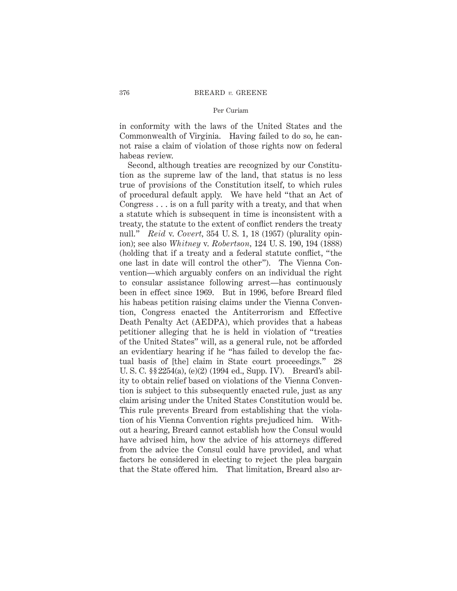in conformity with the laws of the United States and the Commonwealth of Virginia. Having failed to do so, he cannot raise a claim of violation of those rights now on federal habeas review.

Second, although treaties are recognized by our Constitution as the supreme law of the land, that status is no less true of provisions of the Constitution itself, to which rules of procedural default apply. We have held "that an Act of Congress . . . is on a full parity with a treaty, and that when a statute which is subsequent in time is inconsistent with a treaty, the statute to the extent of conflict renders the treaty null." *Reid* v. *Covert,* 354 U. S. 1, 18 (1957) (plurality opinion); see also *Whitney* v. *Robertson,* 124 U. S. 190, 194 (1888) (holding that if a treaty and a federal statute conflict, "the one last in date will control the other"). The Vienna Convention—which arguably confers on an individual the right to consular assistance following arrest—has continuously been in effect since 1969. But in 1996, before Breard filed his habeas petition raising claims under the Vienna Convention, Congress enacted the Antiterrorism and Effective Death Penalty Act (AEDPA), which provides that a habeas petitioner alleging that he is held in violation of "treaties of the United States" will, as a general rule, not be afforded an evidentiary hearing if he "has failed to develop the factual basis of [the] claim in State court proceedings." 28 U. S. C. §§ 2254(a), (e)(2) (1994 ed., Supp. IV). Breard's ability to obtain relief based on violations of the Vienna Convention is subject to this subsequently enacted rule, just as any claim arising under the United States Constitution would be. This rule prevents Breard from establishing that the violation of his Vienna Convention rights prejudiced him. Without a hearing, Breard cannot establish how the Consul would have advised him, how the advice of his attorneys differed from the advice the Consul could have provided, and what factors he considered in electing to reject the plea bargain that the State offered him. That limitation, Breard also ar-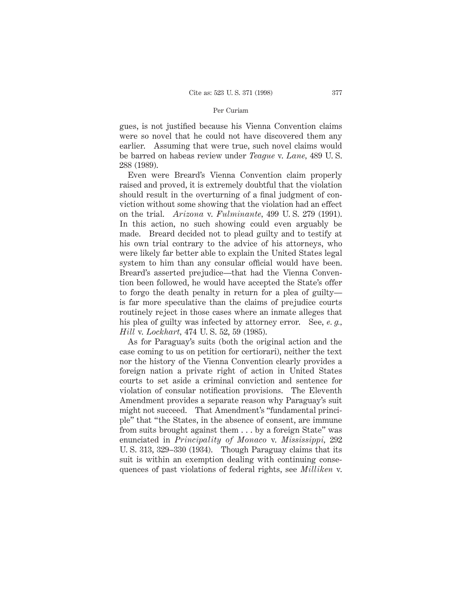gues, is not justified because his Vienna Convention claims were so novel that he could not have discovered them any earlier. Assuming that were true, such novel claims would be barred on habeas review under *Teague* v. *Lane,* 489 U. S. 288 (1989).

Even were Breard's Vienna Convention claim properly raised and proved, it is extremely doubtful that the violation should result in the overturning of a final judgment of conviction without some showing that the violation had an effect on the trial. *Arizona* v. *Fulminante,* 499 U. S. 279 (1991). In this action, no such showing could even arguably be made. Breard decided not to plead guilty and to testify at his own trial contrary to the advice of his attorneys, who were likely far better able to explain the United States legal system to him than any consular official would have been. Breard's asserted prejudice—that had the Vienna Convention been followed, he would have accepted the State's offer to forgo the death penalty in return for a plea of guilty is far more speculative than the claims of prejudice courts routinely reject in those cases where an inmate alleges that his plea of guilty was infected by attorney error. See, *e. g., Hill* v. *Lockhart,* 474 U. S. 52, 59 (1985).

As for Paraguay's suits (both the original action and the case coming to us on petition for certiorari), neither the text nor the history of the Vienna Convention clearly provides a foreign nation a private right of action in United States courts to set aside a criminal conviction and sentence for violation of consular notification provisions. The Eleventh Amendment provides a separate reason why Paraguay's suit might not succeed. That Amendment's "fundamental principle" that "the States, in the absence of consent, are immune from suits brought against them . . . by a foreign State" was enunciated in *Principality of Monaco* v. *Mississippi,* 292 U. S. 313, 329–330 (1934). Though Paraguay claims that its suit is within an exemption dealing with continuing consequences of past violations of federal rights, see *Milliken* v.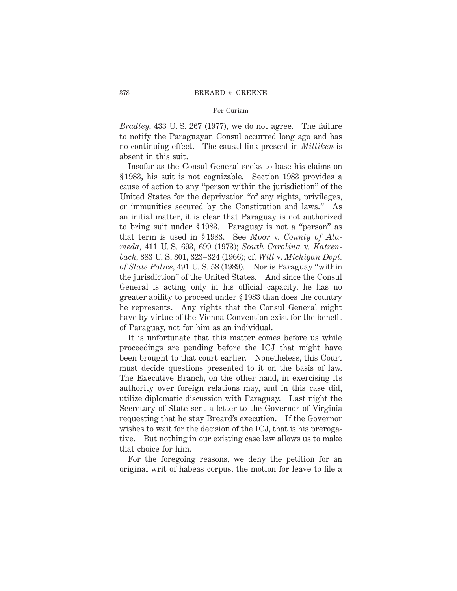*Bradley,* 433 U. S. 267 (1977), we do not agree. The failure to notify the Paraguayan Consul occurred long ago and has no continuing effect. The causal link present in *Milliken* is absent in this suit.

Insofar as the Consul General seeks to base his claims on § 1983, his suit is not cognizable. Section 1983 provides a cause of action to any "person within the jurisdiction" of the United States for the deprivation "of any rights, privileges, or immunities secured by the Constitution and laws." As an initial matter, it is clear that Paraguay is not authorized to bring suit under § 1983. Paraguay is not a "person" as that term is used in § 1983. See *Moor* v. *County of Alameda,* 411 U. S. 693, 699 (1973); *South Carolina* v. *Katzenbach,* 383 U. S. 301, 323–324 (1966); cf. *Will* v. *Michigan Dept. of State Police,* 491 U. S. 58 (1989). Nor is Paraguay "within the jurisdiction" of the United States. And since the Consul General is acting only in his official capacity, he has no greater ability to proceed under § 1983 than does the country he represents. Any rights that the Consul General might have by virtue of the Vienna Convention exist for the benefit of Paraguay, not for him as an individual.

It is unfortunate that this matter comes before us while proceedings are pending before the ICJ that might have been brought to that court earlier. Nonetheless, this Court must decide questions presented to it on the basis of law. The Executive Branch, on the other hand, in exercising its authority over foreign relations may, and in this case did, utilize diplomatic discussion with Paraguay. Last night the Secretary of State sent a letter to the Governor of Virginia requesting that he stay Breard's execution. If the Governor wishes to wait for the decision of the ICJ, that is his prerogative. But nothing in our existing case law allows us to make that choice for him.

For the foregoing reasons, we deny the petition for an original writ of habeas corpus, the motion for leave to file a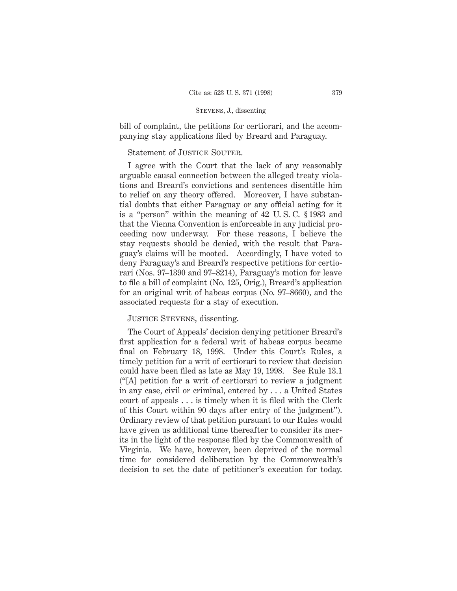## STEVENS, J., dissenting

bill of complaint, the petitions for certiorari, and the accompanying stay applications filed by Breard and Paraguay.

# Statement of JUSTICE SOUTER.

I agree with the Court that the lack of any reasonably arguable causal connection between the alleged treaty violations and Breard's convictions and sentences disentitle him to relief on any theory offered. Moreover, I have substantial doubts that either Paraguay or any official acting for it is a "person" within the meaning of 42 U. S. C. § 1983 and that the Vienna Convention is enforceable in any judicial proceeding now underway. For these reasons, I believe the stay requests should be denied, with the result that Paraguay's claims will be mooted. Accordingly, I have voted to deny Paraguay's and Breard's respective petitions for certiorari (Nos. 97–1390 and 97–8214), Paraguay's motion for leave to file a bill of complaint (No. 125, Orig.), Breard's application for an original writ of habeas corpus (No. 97–8660), and the associated requests for a stay of execution.

# JUSTICE STEVENS, dissenting.

The Court of Appeals' decision denying petitioner Breard's first application for a federal writ of habeas corpus became final on February 18, 1998. Under this Court's Rules, a timely petition for a writ of certiorari to review that decision could have been filed as late as May 19, 1998. See Rule 13.1 ("[A] petition for a writ of certiorari to review a judgment in any case, civil or criminal, entered by . . . a United States court of appeals . . . is timely when it is filed with the Clerk of this Court within 90 days after entry of the judgment"). Ordinary review of that petition pursuant to our Rules would have given us additional time thereafter to consider its merits in the light of the response filed by the Commonwealth of Virginia. We have, however, been deprived of the normal time for considered deliberation by the Commonwealth's decision to set the date of petitioner's execution for today.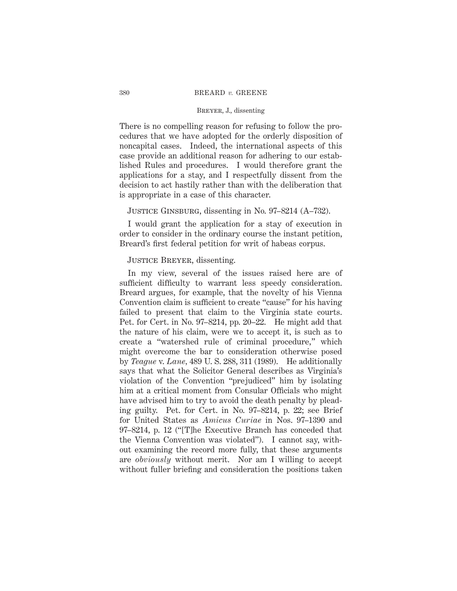## Breyer, J., dissenting

There is no compelling reason for refusing to follow the procedures that we have adopted for the orderly disposition of noncapital cases. Indeed, the international aspects of this case provide an additional reason for adhering to our established Rules and procedures. I would therefore grant the applications for a stay, and I respectfully dissent from the decision to act hastily rather than with the deliberation that is appropriate in a case of this character.

# Justice Ginsburg, dissenting in No. 97–8214 (A–732).

I would grant the application for a stay of execution in order to consider in the ordinary course the instant petition, Breard's first federal petition for writ of habeas corpus.

# JUSTICE BREYER, dissenting.

In my view, several of the issues raised here are of sufficient difficulty to warrant less speedy consideration. Breard argues, for example, that the novelty of his Vienna Convention claim is sufficient to create "cause" for his having failed to present that claim to the Virginia state courts. Pet. for Cert. in No. 97–8214, pp. 20–22. He might add that the nature of his claim, were we to accept it, is such as to create a "watershed rule of criminal procedure," which might overcome the bar to consideration otherwise posed by *Teague* v. *Lane,* 489 U. S. 288, 311 (1989). He additionally says that what the Solicitor General describes as Virginia's violation of the Convention "prejudiced" him by isolating him at a critical moment from Consular Officials who might have advised him to try to avoid the death penalty by pleading guilty. Pet. for Cert. in No. 97–8214, p. 22; see Brief for United States as *Amicus Curiae* in Nos. 97–1390 and 97–8214, p. 12 ("[T]he Executive Branch has conceded that the Vienna Convention was violated"). I cannot say, without examining the record more fully, that these arguments are *obviously* without merit. Nor am I willing to accept without fuller briefing and consideration the positions taken